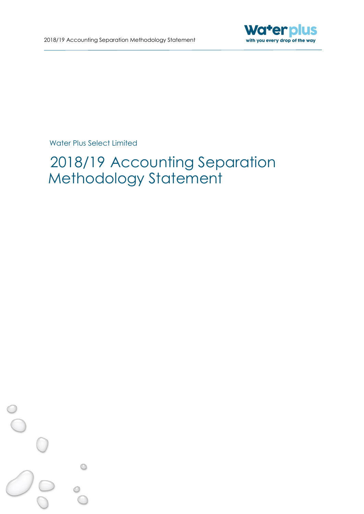

# 2018/19 Accounting Separation Methodology Statement

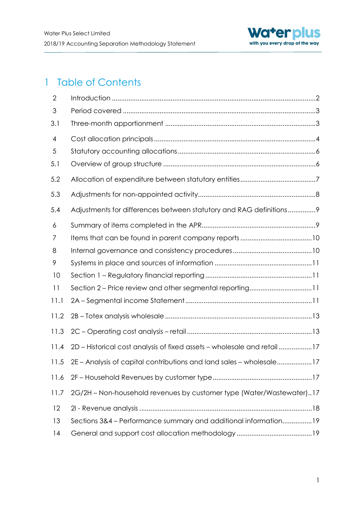

# 1 Table of Contents

| $\overline{2}$ |                                                                         |
|----------------|-------------------------------------------------------------------------|
| 3              |                                                                         |
| 3.1            |                                                                         |
| $\overline{4}$ |                                                                         |
| 5              |                                                                         |
| 5.1            |                                                                         |
| 5.2            |                                                                         |
| 5.3            |                                                                         |
| 5.4            | Adjustments for differences between statutory and RAG definitions9      |
| 6              |                                                                         |
| 7              |                                                                         |
| 8              |                                                                         |
| 9              |                                                                         |
| 10             |                                                                         |
| 11             | Section 2 - Price review and other segmental reporting11                |
| 11.1           |                                                                         |
| 11.2           |                                                                         |
| 11.3           |                                                                         |
| 11.4           | 2D - Historical cost analysis of fixed assets - wholesale and retail 17 |
| 11.5           | 2E - Analysis of capital contributions and land sales - wholesale17     |
| 11.6           |                                                                         |
| 11.7           | 2G/2H - Non-household revenues by customer type (Water/Wastewater)17    |
| 12             |                                                                         |
| 13             | Sections 3&4 - Performance summary and additional information19         |
| 14             |                                                                         |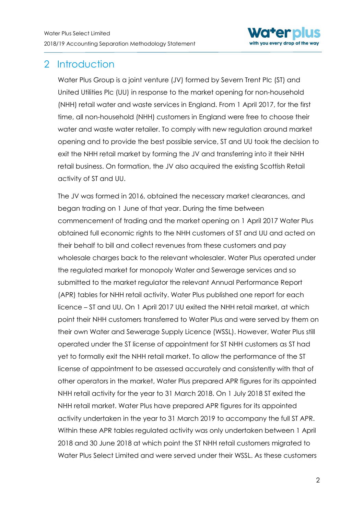

# <span id="page-2-0"></span>2 Introduction

Water Plus Group is a joint venture (JV) formed by Severn Trent Plc (ST) and United Utilities Plc (UU) in response to the market opening for non-household (NHH) retail water and waste services in England. From 1 April 2017, for the first time, all non-household (NHH) customers in England were free to choose their water and waste water retailer. To comply with new regulation around market opening and to provide the best possible service, ST and UU took the decision to exit the NHH retail market by forming the JV and transferring into it their NHH retail business. On formation, the JV also acquired the existing Scottish Retail activity of ST and UU.

The JV was formed in 2016, obtained the necessary market clearances, and began trading on 1 June of that year. During the time between commencement of trading and the market opening on 1 April 2017 Water Plus obtained full economic rights to the NHH customers of ST and UU and acted on their behalf to bill and collect revenues from these customers and pay wholesale charges back to the relevant wholesaler. Water Plus operated under the regulated market for monopoly Water and Sewerage services and so submitted to the market regulator the relevant Annual Performance Report (APR) tables for NHH retail activity. Water Plus published one report for each licence – ST and UU. On 1 April 2017 UU exited the NHH retail market, at which point their NHH customers transferred to Water Plus and were served by them on their own Water and Sewerage Supply Licence (WSSL). However, Water Plus still operated under the ST license of appointment for ST NHH customers as ST had yet to formally exit the NHH retail market. To allow the performance of the ST license of appointment to be assessed accurately and consistently with that of other operators in the market, Water Plus prepared APR figures for its appointed NHH retail activity for the year to 31 March 2018. On 1 July 2018 ST exited the NHH retail market. Water Plus have prepared APR figures for its appointed activity undertaken in the year to 31 March 2019 to accompany the full ST APR. Within these APR tables regulated activity was only undertaken between 1 April 2018 and 30 June 2018 at which point the ST NHH retail customers migrated to Water Plus Select Limited and were served under their WSSL. As these customers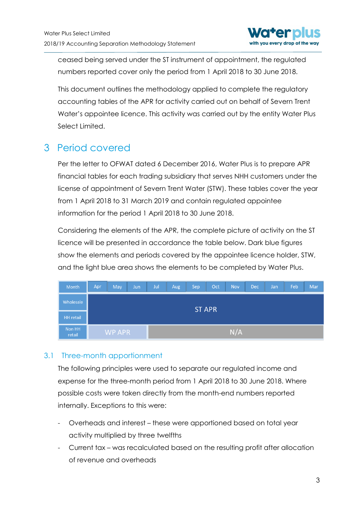

ceased being served under the ST instrument of appointment, the regulated numbers reported cover only the period from 1 April 2018 to 30 June 2018.

This document outlines the methodology applied to complete the regulatory accounting tables of the APR for activity carried out on behalf of Severn Trent Water's appointee licence. This activity was carried out by the entity Water Plus Select Limited.

# <span id="page-3-0"></span>3 Period covered

Per the letter to OFWAT dated 6 December 2016, Water Plus is to prepare APR financial tables for each trading subsidiary that serves NHH customers under the license of appointment of Severn Trent Water (STW). These tables cover the year from 1 April 2018 to 31 March 2019 and contain regulated appointee information for the period 1 April 2018 to 30 June 2018.

Considering the elements of the APR, the complete picture of activity on the ST licence will be presented in accordance the table below. Dark blue figures show the elements and periods covered by the appointee licence holder, STW, and the light blue area shows the elements to be completed by Water Plus.

| Month            | Apr           | May    | Jun | Jul | Aug | Sep | Oct | <b>Nov</b> | Dec | Jan | Feb | Mar |
|------------------|---------------|--------|-----|-----|-----|-----|-----|------------|-----|-----|-----|-----|
| Wholesale        | <b>ST APR</b> |        |     |     |     |     |     |            |     |     |     |     |
| <b>HH</b> retail |               |        |     |     |     |     |     |            |     |     |     |     |
| Non HH<br>retail |               | WP APR |     |     |     |     |     | N/A        |     |     |     |     |

### <span id="page-3-1"></span>3.1 Three-month apportionment

The following principles were used to separate our regulated income and expense for the three-month period from 1 April 2018 to 30 June 2018. Where possible costs were taken directly from the month-end numbers reported internally. Exceptions to this were:

- Overheads and interest these were apportioned based on total year activity multiplied by three twelfths
- Current tax was recalculated based on the resulting profit after allocation of revenue and overheads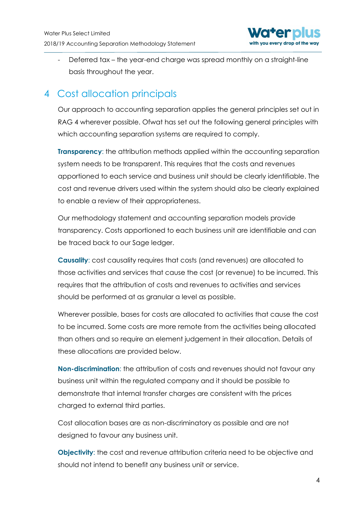

Deferred tax – the year-end charge was spread monthly on a straight-line basis throughout the year.

# <span id="page-4-0"></span>4 Cost allocation principals

Our approach to accounting separation applies the general principles set out in RAG 4 wherever possible. Ofwat has set out the following general principles with which accounting separation systems are required to comply.

**Transparency:** the attribution methods applied within the accounting separation system needs to be transparent. This requires that the costs and revenues apportioned to each service and business unit should be clearly identifiable. The cost and revenue drivers used within the system should also be clearly explained to enable a review of their appropriateness.

Our methodology statement and accounting separation models provide transparency. Costs apportioned to each business unit are identifiable and can be traced back to our Sage ledger.

**Causality**: cost causality requires that costs (and revenues) are allocated to those activities and services that cause the cost (or revenue) to be incurred. This requires that the attribution of costs and revenues to activities and services should be performed at as granular a level as possible.

Wherever possible, bases for costs are allocated to activities that cause the cost to be incurred. Some costs are more remote from the activities being allocated than others and so require an element judgement in their allocation. Details of these allocations are provided below.

**Non-discrimination**: the attribution of costs and revenues should not favour any business unit within the regulated company and it should be possible to demonstrate that internal transfer charges are consistent with the prices charged to external third parties.

Cost allocation bases are as non-discriminatory as possible and are not designed to favour any business unit.

**Objectivity:** the cost and revenue attribution criteria need to be objective and should not intend to benefit any business unit or service.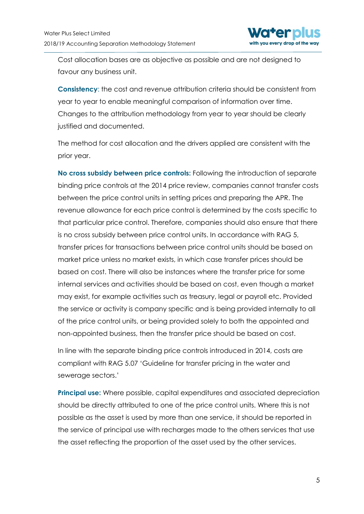

Cost allocation bases are as objective as possible and are not designed to favour any business unit.

**Consistency**: the cost and revenue attribution criteria should be consistent from year to year to enable meaningful comparison of information over time. Changes to the attribution methodology from year to year should be clearly justified and documented.

The method for cost allocation and the drivers applied are consistent with the prior year.

**No cross subsidy between price controls:** Following the introduction of separate binding price controls at the 2014 price review, companies cannot transfer costs between the price control units in setting prices and preparing the APR. The revenue allowance for each price control is determined by the costs specific to that particular price control. Therefore, companies should also ensure that there is no cross subsidy between price control units. In accordance with RAG 5, transfer prices for transactions between price control units should be based on market price unless no market exists, in which case transfer prices should be based on cost. There will also be instances where the transfer price for some internal services and activities should be based on cost, even though a market may exist, for example activities such as treasury, legal or payroll etc. Provided the service or activity is company specific and is being provided internally to all of the price control units, or being provided solely to both the appointed and non-appointed business, then the transfer price should be based on cost.

In line with the separate binding price controls introduced in 2014, costs are compliant with RAG 5.07 'Guideline for transfer pricing in the water and sewerage sectors.'

**Principal use:** Where possible, capital expenditures and associated depreciation should be directly attributed to one of the price control units. Where this is not possible as the asset is used by more than one service, it should be reported in the service of principal use with recharges made to the others services that use the asset reflecting the proportion of the asset used by the other services.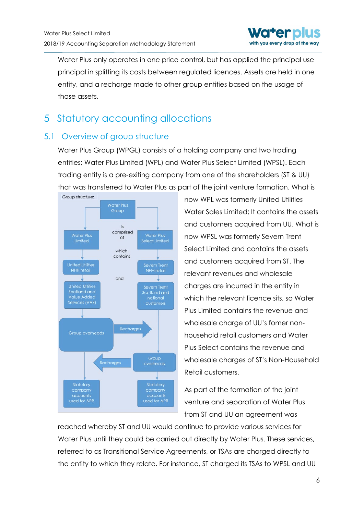

Water Plus only operates in one price control, but has applied the principal use principal in splitting its costs between regulated licences. Assets are held in one entity, and a recharge made to other group entities based on the usage of those assets.

# <span id="page-6-0"></span>5 Statutory accounting allocations

### <span id="page-6-1"></span>5.1 Overview of group structure

Water Plus Group (WPGL) consists of a holding company and two trading entities; Water Plus Limited (WPL) and Water Plus Select Limited (WPSL). Each trading entity is a pre-exiting company from one of the shareholders (ST & UU) that was transferred to Water Plus as part of the joint venture formation. What is



now WPL was formerly United Utilities Water Sales Limited; It contains the assets and customers acquired from UU. What is now WPSL was formerly Severn Trent Select Limited and contains the assets and customers acquired from ST. The relevant revenues and wholesale charges are incurred in the entity in which the relevant licence sits, so Water Plus Limited contains the revenue and wholesale charge of UU's fomer nonhousehold retail customers and Water Plus Select contains the revenue and wholesale charges of ST's Non-Household Retail customers.

As part of the formation of the joint venture and separation of Water Plus from ST and UU an agreement was

reached whereby ST and UU would continue to provide various services for Water Plus until they could be carried out directly by Water Plus. These services, referred to as Transitional Service Agreements, or TSAs are charged directly to the entity to which they relate. For instance, ST charged its TSAs to WPSL and UU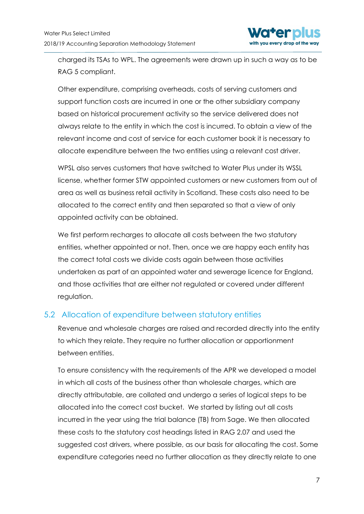

charged its TSAs to WPL. The agreements were drawn up in such a way as to be RAG 5 compliant.

Other expenditure, comprising overheads, costs of serving customers and support function costs are incurred in one or the other subsidiary company based on historical procurement activity so the service delivered does not always relate to the entity in which the cost is incurred. To obtain a view of the relevant income and cost of service for each customer book it is necessary to allocate expenditure between the two entities using a relevant cost driver.

WPSL also serves customers that have switched to Water Plus under its WSSL license, whether former STW appointed customers or new customers from out of area as well as business retail activity in Scotland. These costs also need to be allocated to the correct entity and then separated so that a view of only appointed activity can be obtained.

We first perform recharges to allocate all costs between the two statutory entities, whether appointed or not. Then, once we are happy each entity has the correct total costs we divide costs again between those activities undertaken as part of an appointed water and sewerage licence for England, and those activities that are either not regulated or covered under different regulation.

### <span id="page-7-0"></span>5.2 Allocation of expenditure between statutory entities

Revenue and wholesale charges are raised and recorded directly into the entity to which they relate. They require no further allocation or apportionment between entities.

To ensure consistency with the requirements of the APR we developed a model in which all costs of the business other than wholesale charges, which are directly attributable, are collated and undergo a series of logical steps to be allocated into the correct cost bucket. We started by listing out all costs incurred in the year using the trial balance (TB) from Sage. We then allocated these costs to the statutory cost headings listed in RAG 2.07 and used the suggested cost drivers, where possible, as our basis for allocating the cost. Some expenditure categories need no further allocation as they directly relate to one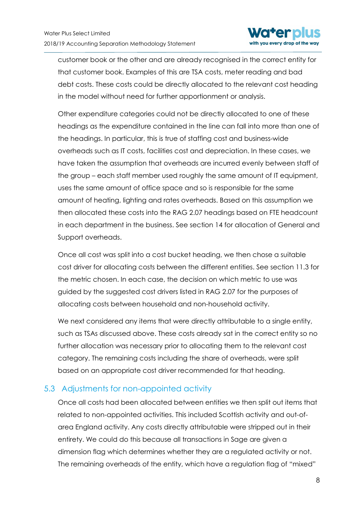

customer book or the other and are already recognised in the correct entity for that customer book. Examples of this are TSA costs, meter reading and bad debt costs. These costs could be directly allocated to the relevant cost heading in the model without need for further apportionment or analysis.

Other expenditure categories could not be directly allocated to one of these headings as the expenditure contained in the line can fall into more than one of the headings. In particular, this is true of staffing cost and business-wide overheads such as IT costs, facilities cost and depreciation. In these cases, we have taken the assumption that overheads are incurred evenly between staff of the group – each staff member used roughly the same amount of IT equipment, uses the same amount of office space and so is responsible for the same amount of heating, lighting and rates overheads. Based on this assumption we then allocated these costs into the RAG 2.07 headings based on FTE headcount in each department in the business. See section 14 for allocation of General and Support overheads.

Once all cost was split into a cost bucket heading, we then chose a suitable cost driver for allocating costs between the different entities. See section 11.3 for the metric chosen. In each case, the decision on which metric to use was guided by the suggested cost drivers listed in RAG 2.07 for the purposes of allocating costs between household and non-household activity.

We next considered any items that were directly attributable to a single entity, such as TSAs discussed above. These costs already sat in the correct entity so no further allocation was necessary prior to allocating them to the relevant cost category. The remaining costs including the share of overheads, were split based on an appropriate cost driver recommended for that heading.

### <span id="page-8-0"></span>5.3 Adjustments for non-appointed activity

Once all costs had been allocated between entities we then split out items that related to non-appointed activities. This included Scottish activity and out-ofarea England activity. Any costs directly attributable were stripped out in their entirety. We could do this because all transactions in Sage are given a dimension flag which determines whether they are a regulated activity or not. The remaining overheads of the entity, which have a regulation flag of "mixed"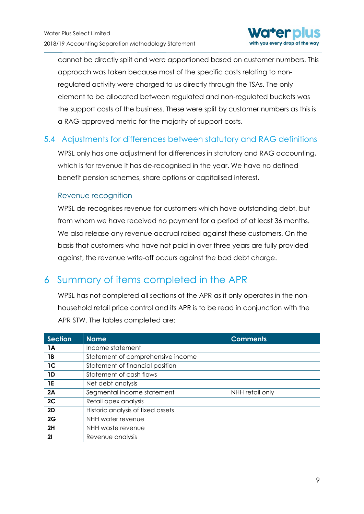

cannot be directly split and were apportioned based on customer numbers. This approach was taken because most of the specific costs relating to nonregulated activity were charged to us directly through the TSAs. The only element to be allocated between regulated and non-regulated buckets was the support costs of the business. These were split by customer numbers as this is a RAG-approved metric for the majority of support costs.

### <span id="page-9-0"></span>5.4 Adjustments for differences between statutory and RAG definitions

WPSL only has one adjustment for differences in statutory and RAG accounting, which is for revenue it has de-recognised in the year. We have no defined benefit pension schemes, share options or capitalised interest.

#### Revenue recognition

WPSL de-recognises revenue for customers which have outstanding debt, but from whom we have received no payment for a period of at least 36 months. We also release any revenue accrual raised against these customers. On the basis that customers who have not paid in over three years are fully provided against, the revenue write-off occurs against the bad debt charge.

### <span id="page-9-1"></span>6 Summary of items completed in the APR

WPSL has not completed all sections of the APR as it only operates in the nonhousehold retail price control and its APR is to be read in conjunction with the APR STW. The tables completed are:

| <b>Section</b> | <b>Name</b>                       | <b>Comments</b> |
|----------------|-----------------------------------|-----------------|
| 1A             | Income statement                  |                 |
| 1B             | Statement of comprehensive income |                 |
| 1 <sup>C</sup> | Statement of financial position   |                 |
| 1D             | Statement of cash flows           |                 |
| 1E             | Net debt analysis                 |                 |
| 2A             | Segmental income statement        | NHH retail only |
| 2C             | Retail opex analysis              |                 |
| 2D             | Historic analysis of fixed assets |                 |
| 2G             | NHH water revenue                 |                 |
| 2H             | NHH waste revenue                 |                 |
| 21             | Revenue analysis                  |                 |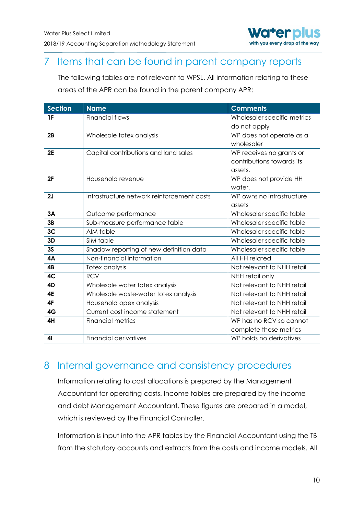

# <span id="page-10-0"></span>7 Items that can be found in parent company reports

The following tables are not relevant to WPSL. All information relating to these areas of the APR can be found in the parent company APR:

| <b>Section</b> | <b>Name</b>                                | <b>Comments</b>             |
|----------------|--------------------------------------------|-----------------------------|
| 1F             | <b>Financial flows</b>                     | Wholesaler specific metrics |
|                |                                            | do not apply                |
| 2B             | Wholesale totex analysis                   | WP does not operate as a    |
|                |                                            | wholesaler                  |
| 2E             | Capital contributions and land sales       | WP receives no grants or    |
|                |                                            | contributions towards its   |
|                |                                            | assets.                     |
| 2F             | Household revenue                          | WP does not provide HH      |
|                |                                            | water.                      |
| 2J             | Infrastructure network reinforcement costs | WP owns no infrastructure   |
|                |                                            | assets                      |
| 3A             | Outcome performance                        | Wholesaler specific table   |
| 3B             | Sub-measure performance table              | Wholesaler specific table   |
| 3 <sub>C</sub> | AIM table                                  | Wholesaler specific table   |
| 3D             | SIM table                                  | Wholesaler specific table   |
| 3S             | Shadow reporting of new definition data    | Wholesaler specific table   |
| <b>4A</b>      | Non-financial information                  | All HH related              |
| 4B             | Totex analysis                             | Not relevant to NHH retail  |
| 4C             | <b>RCV</b>                                 | NHH retail only             |
| 4D             | Wholesale water totex analysis             | Not relevant to NHH retail  |
| <b>4E</b>      | Wholesale waste-water totex analysis       | Not relevant to NHH retail  |
| 4F             | Household opex analysis                    | Not relevant to NHH retail  |
| 4G             | Current cost income statement              | Not relevant to NHH retail  |
| 4H             | <b>Financial metrics</b>                   | WP has no RCV so cannot     |
|                |                                            | complete these metrics      |
| 41             | <b>Financial derivatives</b>               | WP holds no derivatives     |

### <span id="page-10-1"></span>8 Internal governance and consistency procedures

Information relating to cost allocations is prepared by the Management Accountant for operating costs. Income tables are prepared by the income and debt Management Accountant. These figures are prepared in a model, which is reviewed by the Financial Controller.

Information is input into the APR tables by the Financial Accountant using the TB from the statutory accounts and extracts from the costs and income models. All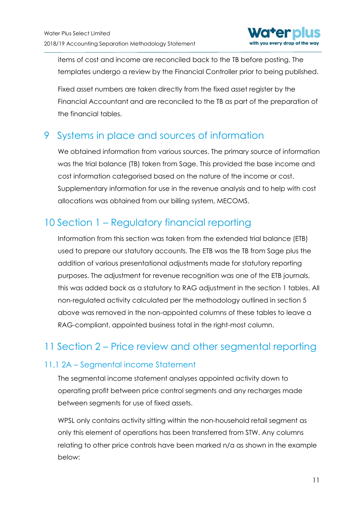

items of cost and income are reconciled back to the TB before posting. The templates undergo a review by the Financial Controller prior to being published.

Fixed asset numbers are taken directly from the fixed asset register by the Financial Accountant and are reconciled to the TB as part of the preparation of the financial tables.

# <span id="page-11-0"></span>9 Systems in place and sources of information

We obtained information from various sources. The primary source of information was the trial balance (TB) taken from Sage. This provided the base income and cost information categorised based on the nature of the income or cost. Supplementary information for use in the revenue analysis and to help with cost allocations was obtained from our billing system, MECOMS.

# <span id="page-11-1"></span>10 Section 1 – Regulatory financial reporting

Information from this section was taken from the extended trial balance (ETB) used to prepare our statutory accounts. The ETB was the TB from Sage plus the addition of various presentational adjustments made for statutory reporting purposes. The adjustment for revenue recognition was one of the ETB journals, this was added back as a statutory to RAG adjustment in the section 1 tables. All non-regulated activity calculated per the methodology outlined in section 5 above was removed in the non-appointed columns of these tables to leave a RAG-compliant, appointed business total in the right-most column.

# <span id="page-11-2"></span>11 Section 2 – Price review and other segmental reporting

### <span id="page-11-3"></span>11.1 2A – Segmental income Statement

The segmental income statement analyses appointed activity down to operating profit between price control segments and any recharges made between segments for use of fixed assets.

WPSL only contains activity sitting within the non-household retail segment as only this element of operations has been transferred from STW. Any columns relating to other price controls have been marked n/a as shown in the example below: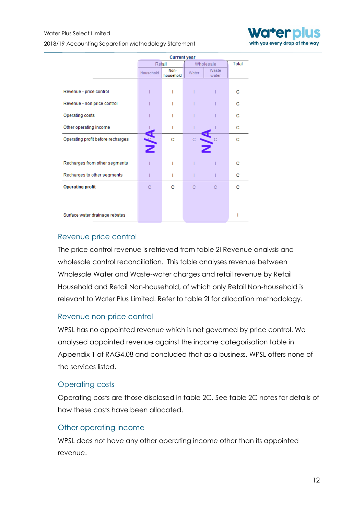2018/19 Accounting Separation Methodology Statement



|                                   | <b>Current year</b> |                   |           |                |              |  |
|-----------------------------------|---------------------|-------------------|-----------|----------------|--------------|--|
|                                   | Retail              |                   | Wholesale |                | <b>Total</b> |  |
|                                   | Household           | Non-<br>household | Water     | Waste<br>water |              |  |
|                                   |                     |                   |           |                |              |  |
| Revenue - price control           |                     | ı                 |           |                | c            |  |
| Revenue - non price control       |                     |                   |           |                | с            |  |
| Operating costs                   |                     |                   |           |                | с            |  |
| Other operating income            |                     | ı                 |           |                | c            |  |
| Operating profit before recharges | Я<br>Z              | c                 |           |                | c            |  |
|                                   |                     |                   |           |                |              |  |
| Recharges from other segments     |                     | ı                 |           |                | с            |  |
| Recharges to other segments       |                     | ı                 |           |                | с            |  |
| <b>Operating profit</b>           | C                   | с                 | С         | C              | с            |  |
|                                   |                     |                   |           |                |              |  |
| Surface water drainage rebates    |                     |                   |           |                |              |  |

#### Revenue price control

The price control revenue is retrieved from table 2I Revenue analysis and wholesale control reconciliation. This table analyses revenue between Wholesale Water and Waste-water charges and retail revenue by Retail Household and Retail Non-household, of which only Retail Non-household is relevant to Water Plus Limited. Refer to table 2I for allocation methodology.

#### Revenue non-price control

WPSL has no appointed revenue which is not governed by price control. We analysed appointed revenue against the income categorisation table in Appendix 1 of RAG4.08 and concluded that as a business, WPSL offers none of the services listed.

#### Operating costs

Operating costs are those disclosed in table 2C. See table 2C notes for details of how these costs have been allocated.

#### Other operating income

WPSL does not have any other operating income other than its appointed revenue.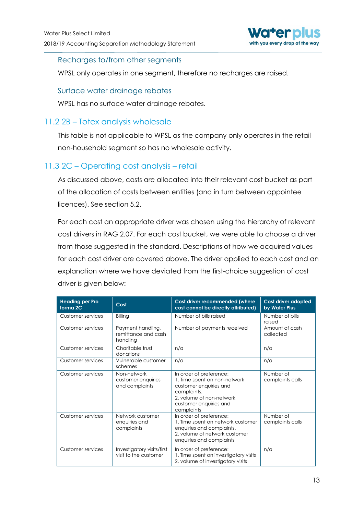

#### Recharges to/from other segments

WPSL only operates in one segment, therefore no recharges are raised.

#### Surface water drainage rebates

WPSL has no surface water drainage rebates.

#### <span id="page-13-0"></span>11.2 2B – Totex analysis wholesale

This table is not applicable to WPSL as the company only operates in the retail non-household segment so has no wholesale activity.

### <span id="page-13-1"></span>11.3 2C – Operating cost analysis – retail

As discussed above, costs are allocated into their relevant cost bucket as part of the allocation of costs between entities (and in turn between appointee licences). See section 5.2.

For each cost an appropriate driver was chosen using the hierarchy of relevant cost drivers in RAG 2.07. For each cost bucket, we were able to choose a driver from those suggested in the standard. Descriptions of how we acquired values for each cost driver are covered above. The driver applied to each cost and an explanation where we have deviated from the first-choice suggestion of cost driver is given below:

| <b>Heading per Pro</b><br>forma <sub>2C</sub> | Cost                                                 | Cost driver recommended (where<br>cost cannot be directly attributed)                                                                                                | Cost driver adopted<br>by Water Plus |
|-----------------------------------------------|------------------------------------------------------|----------------------------------------------------------------------------------------------------------------------------------------------------------------------|--------------------------------------|
| Customer services                             | Billing                                              | Number of bills raised                                                                                                                                               | Number of bills<br>raised            |
| Customer services                             | Payment handling,<br>remittance and cash<br>handling | Number of payments received                                                                                                                                          | Amount of cash<br>collected          |
| Customer services                             | Charitable trust<br>donations                        | n/a                                                                                                                                                                  | n/a                                  |
| Customer services                             | Vulnerable customer<br>schemes                       | n/a                                                                                                                                                                  | n/a                                  |
| Customer services                             | Non-network<br>customer enquiries<br>and complaints  | In order of preference:<br>1. Time spent on non-network<br>customer enquiries and<br>complaints.<br>2. volume of non-network<br>customer enquiries and<br>complaints | Number of<br>complaints calls        |
| Customer services                             | Network customer<br>enquiries and<br>complaints      | In order of preference:<br>1. Time spent on network customer<br>enquiries and complaints.<br>2. volume of network customer<br>enquiries and complaints               | Number of<br>complaints calls        |
| Customer services                             | Investigatory visits/first<br>visit to the customer  | In order of preference:<br>1. Time spent on investigatory visits<br>2. volume of investigatory visits                                                                | n/a                                  |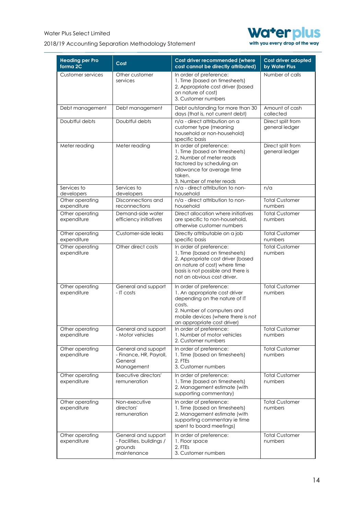#### 2018/19 Accounting Separation Methodology Statement



| <b>Heading per Pro</b><br>forma <sub>2C</sub> | Cost                                                                       | Cost driver recommended (where<br>cost cannot be directly attributed)                                                                                                                                  | Cost driver adopted<br>by Water Plus |
|-----------------------------------------------|----------------------------------------------------------------------------|--------------------------------------------------------------------------------------------------------------------------------------------------------------------------------------------------------|--------------------------------------|
| Customer services                             | Other customer<br>services                                                 | In order of preference:<br>1. Time (based on timesheets)<br>2. Appropriate cost driver (based<br>on nature of cost)<br>3. Customer numbers                                                             | Number of calls                      |
| Debt management                               | Debt management                                                            | Debt outstanding for more than 30<br>days (that is, not current debt)                                                                                                                                  | Amount of cash<br>collected          |
| Doubtful debts                                | Doubtful debts                                                             | n/a - direct attribution on a<br>customer type (meaning<br>household or non-household)<br>specific basis                                                                                               | Direct split from<br>general ledger  |
| Meter reading                                 | Meter reading                                                              | In order of preference:<br>1. Time (based on timesheets)<br>2. Number of meter reads<br>factored by scheduling an<br>allowance for average time<br>taken.<br>3. Number of meter reads                  | Direct split from<br>general ledger  |
| Services to                                   | Services to                                                                | n/a - direct attribution to non-                                                                                                                                                                       | n/a                                  |
| developers                                    | developers                                                                 | household                                                                                                                                                                                              |                                      |
| Other operating<br>expenditure                | Disconnections and<br>reconnections                                        | n/a - direct attribution to non-<br>household                                                                                                                                                          | <b>Total Customer</b><br>numbers     |
| Other operating<br>expenditure                | Demand-side water<br>efficiency initiatives                                | Direct allocation where initiatives<br>are specific to non-household,<br>otherwise customer numbers                                                                                                    | <b>Total Customer</b><br>numbers     |
| Other operating<br>expenditure                | Customer-side leaks                                                        | Directly attributable on a job<br>specific basis                                                                                                                                                       | <b>Total Customer</b><br>numbers     |
| Other operating<br>expenditure                | Other direct costs                                                         | In order of preference:<br>1. Time (based on timesheets)<br>2. Appropriate cost driver (based<br>on nature of cost) where time<br>basis is not possible and there is<br>not an obvious cost driver.    | <b>Total Customer</b><br>numbers     |
| Other operating<br>expenditure                | General and support<br>- IT costs                                          | In order of preference:<br>1. An appropriate cost driver<br>depending on the nature of IT<br>costs.<br>2. Number of computers and<br>mobile devices (where there is not<br>an appropriate cost driver) | <b>Total Customer</b><br>numbers     |
| Other operating<br>expenditure                | General and support<br>- Motor vehicles                                    | In order of preference:<br>1. Number of motor vehicles<br>2. Customer numbers                                                                                                                          | Total Customer<br>numbers            |
| Other operating<br>expenditure                | General and supoprt<br>- Finance, HR, Payroll,<br>General<br>Management    | In order of preference:<br>1. Time (based on timesheets)<br>2. FTEs<br>3. Customer numbers                                                                                                             | <b>Total Customer</b><br>numbers     |
| Other operating<br>expenditure                | Executive directors'<br>remuneration                                       | In order of preference:<br>1. Time (based on timesheets)<br>2. Management estimate (with<br>supporting commentary)                                                                                     | <b>Total Customer</b><br>numbers     |
| Other operating<br>expenditure                | Non-executive<br>directors'<br>remuneration                                | In order of preference:<br>1. Time (based on timesheets)<br>2. Management estimate (with<br>supporting commentary ie time<br>spent to board meetings)                                                  | <b>Total Customer</b><br>numbers     |
| Other operating<br>expenditure                | General and support<br>- Facilities, buildings /<br>grounds<br>maintenance | In order of preference:<br>1. Floor space<br>2. FTEs<br>3. Customer numbers                                                                                                                            | <b>Total Customer</b><br>numbers     |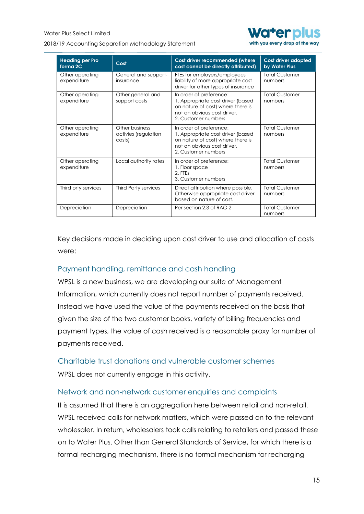2018/19 Accounting Separation Methodology Statement



with you every drop of the way

| <b>Heading per Pro</b><br>forma <sub>2C</sub> | Cost                                             | Cost driver recommended (where<br>cost cannot be directly attributed)                                                                                   | <b>Cost driver adopted</b><br>by Water Plus |
|-----------------------------------------------|--------------------------------------------------|---------------------------------------------------------------------------------------------------------------------------------------------------------|---------------------------------------------|
| Other operating<br>expenditure                | General and support-<br>insurance                | FTEs for employers/employees<br>liability of more appropriate cost<br>driver for other types of insurance                                               | <b>Total Customer</b><br>numbers            |
| Other operating<br>expenditure                | Other general and<br>support costs               | In order of preference:<br>1. Appropriate cost driver (based<br>on nature of cost) where there is<br>not an obvious cost driver.<br>2. Customer numbers | <b>Total Customer</b><br>numbers            |
| Other operating<br>expenditure                | Other business<br>activies (regulation<br>costs) | In order of preference:<br>1. Appropriate cost driver (based<br>on nature of cost) where there is<br>not an obvious cost driver.<br>2. Customer numbers | <b>Total Customer</b><br>numbers            |
| Other operating<br>expenditure                | Local authority rates                            | In order of preference:<br>1. Floor space<br>2. FTFs<br>3. Customer numbers                                                                             | <b>Total Customer</b><br>numbers            |
| Third prty services                           | <b>Third Party services</b>                      | Direct attribution where possible.<br>Otherwise appropriate cost driver<br>based on nature of cost.                                                     | <b>Total Customer</b><br>numbers            |
| Depreciation                                  | Depreciation                                     | Per section 2.3 of RAG 2                                                                                                                                | <b>Total Customer</b><br>numbers            |

Key decisions made in deciding upon cost driver to use and allocation of costs were:

#### Payment handling, remittance and cash handling

WPSL is a new business, we are developing our suite of Management Information, which currently does not report number of payments received. Instead we have used the value of the payments received on the basis that given the size of the two customer books, variety of billing frequencies and payment types, the value of cash received is a reasonable proxy for number of payments received.

Charitable trust donations and vulnerable customer schemes WPSL does not currently engage in this activity.

#### Network and non-network customer enquiries and complaints

It is assumed that there is an aggregation here between retail and non-retail. WPSL received calls for network matters, which were passed on to the relevant wholesaler. In return, wholesalers took calls relating to retailers and passed these on to Water Plus. Other than General Standards of Service, for which there is a formal recharging mechanism, there is no formal mechanism for recharging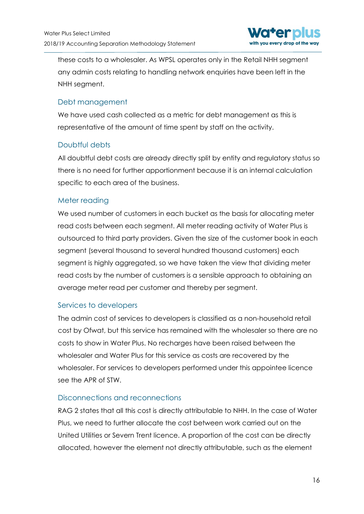

these costs to a wholesaler. As WPSL operates only in the Retail NHH segment any admin costs relating to handling network enquiries have been left in the NHH segment.

#### Debt management

We have used cash collected as a metric for debt management as this is representative of the amount of time spent by staff on the activity.

### Doubtful debts

All doubtful debt costs are already directly split by entity and regulatory status so there is no need for further apportionment because it is an internal calculation specific to each area of the business.

#### Meter reading

We used number of customers in each bucket as the basis for allocating meter read costs between each segment. All meter reading activity of Water Plus is outsourced to third party providers. Given the size of the customer book in each segment (several thousand to several hundred thousand customers) each segment is highly aggregated, so we have taken the view that dividing meter read costs by the number of customers is a sensible approach to obtaining an average meter read per customer and thereby per segment.

### Services to developers

The admin cost of services to developers is classified as a non-household retail cost by Ofwat, but this service has remained with the wholesaler so there are no costs to show in Water Plus. No recharges have been raised between the wholesaler and Water Plus for this service as costs are recovered by the wholesaler. For services to developers performed under this appointee licence see the APR of STW.

#### Disconnections and reconnections

RAG 2 states that all this cost is directly attributable to NHH. In the case of Water Plus, we need to further allocate the cost between work carried out on the United Utilities or Severn Trent licence. A proportion of the cost can be directly allocated, however the element not directly attributable, such as the element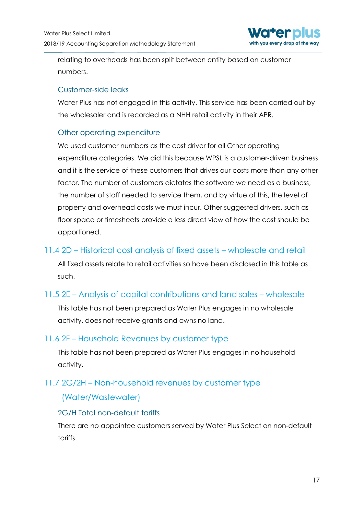

relating to overheads has been split between entity based on customer numbers.

#### Customer-side leaks

Water Plus has not engaged in this activity. This service has been carried out by the wholesaler and is recorded as a NHH retail activity in their APR.

### Other operating expenditure

We used customer numbers as the cost driver for all Other operating expenditure categories. We did this because WPSL is a customer-driven business and it is the service of these customers that drives our costs more than any other factor. The number of customers dictates the software we need as a business, the number of staff needed to service them, and by virtue of this, the level of property and overhead costs we must incur. Other suggested drivers, such as floor space or timesheets provide a less direct view of how the cost should be apportioned.

### <span id="page-17-0"></span>11.4 2D – Historical cost analysis of fixed assets – wholesale and retail

All fixed assets relate to retail activities so have been disclosed in this table as such.

### <span id="page-17-1"></span>11.5 2E – Analysis of capital contributions and land sales – wholesale

This table has not been prepared as Water Plus engages in no wholesale activity, does not receive grants and owns no land.

### <span id="page-17-2"></span>11.6 2F – Household Revenues by customer type

This table has not been prepared as Water Plus engages in no household activity.

### <span id="page-17-3"></span>11.7 2G/2H – Non-household revenues by customer type

### (Water/Wastewater)

### 2G/H Total non-default tariffs

There are no appointee customers served by Water Plus Select on non-default tariffs.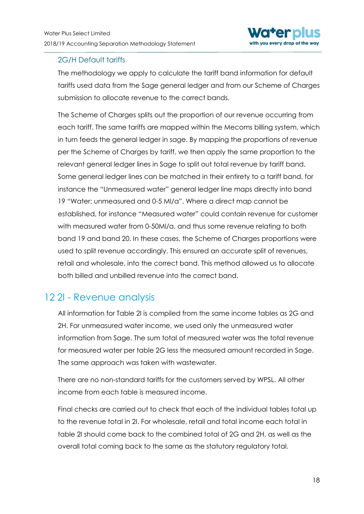

#### 2G/H Default tariffs

The methodology we apply to calculate the tariff band information for default tariffs used data from the Sage general ledger and from our Scheme of Charges submission to allocate revenue to the correct bands.

The Scheme of Charges splits out the proportion of our revenue occurring from each tariff. The same tariffs are mapped within the Mecoms billing system, which in turn feeds the general ledger in sage. By mapping the proportions of revenue per the Scheme of Charges by tariff, we then apply the same proportion to the relevant general ledger lines in Sage to split out total revenue by tariff band. Some general ledger lines can be matched in their entirety to a tariff band, for instance the "Unmeasured water" general ledger line maps directly into band 19 "Water: unmeasured and 0-5 Ml/a". Where a direct map cannot be established, for instance "Measured water" could contain revenue for customer with measured water from 0-50Ml/a, and thus some revenue relating to both band 19 and band 20. In these cases, the Scheme of Charges proportions were used to split revenue accordingly. This ensured an accurate split of revenues, retail and wholesale, into the correct band. This method allowed us to allocate both billed and unbilled revenue into the correct band.

# <span id="page-18-0"></span>12 2I - Revenue analysis

All information for Table 2I is compiled from the same income tables as 2G and 2H. For unmeasured water income, we used only the unmeasured water information from Sage. The sum total of measured water was the total revenue for measured water per table 2G less the measured amount recorded in Sage. The same approach was taken with wastewater.

There are no non-standard tariffs for the customers served by WPSL. All other income from each table is measured income.

Final checks are carried out to check that each of the individual tables total up to the revenue total in 2I. For wholesale, retail and total income each total in table 2I should come back to the combined total of 2G and 2H, as well as the overall total coming back to the same as the statutory regulatory total.